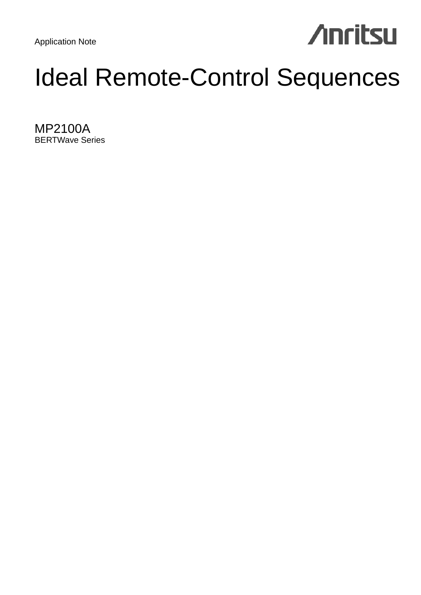Application Note

# **Anritsu**

## Ideal Remote-Control Sequences

MP2100A BERTWave Series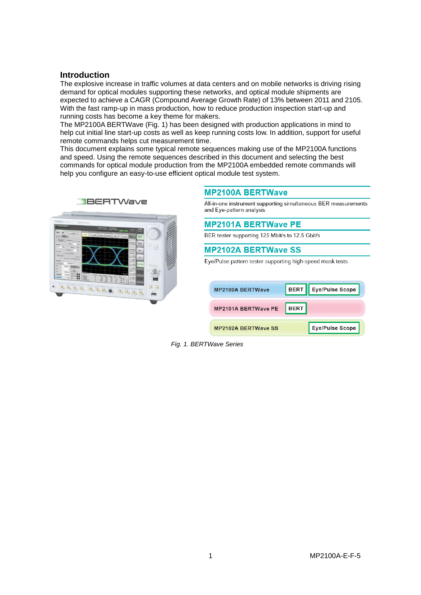## **Introduction**

The explosive increase in traffic volumes at data centers and on mobile networks is driving rising demand for optical modules supporting these networks, and optical module shipments are expected to achieve a CAGR (Compound Average Growth Rate) of 13% between 2011 and 2105. With the fast ramp-up in mass production, how to reduce production inspection start-up and running costs has become a key theme for makers.

The MP2100A BERTWave (Fig. 1) has been designed with production applications in mind to help cut initial line start-up costs as well as keep running costs low. In addition, support for useful remote commands helps cut measurement time.

This document explains some typical remote sequences making use of the MP2100A functions and speed. Using the remote sequences described in this document and selecting the best commands for optical module production from the MP2100A embedded remote commands will help you configure an easy-to-use efficient optical module test system.



## **MP2100A BERTWave**

All-in-one instrument supporting simultaneous BER measurements and Eye-pattern analysis

|  | <b>MP2101A BERTWave PE</b> |  |
|--|----------------------------|--|
|  |                            |  |

BER tester supporting 125 Mbit/s to 12.5 Gbit/s

## **MP2102A BERTWave SS**

Eye/Pulse pattern tester supporting high-speed mask tests

| <b>MP2100A BERTWave</b>    | <b>BERT</b> | Eye/Pulse Scope |
|----------------------------|-------------|-----------------|
| <b>MP2101A BERTWave PE</b> | RFRT        |                 |
| <b>MP2102A BERTWave SS</b> |             | Eye/Pulse Scope |

*Fig. 1. BERTWave Series*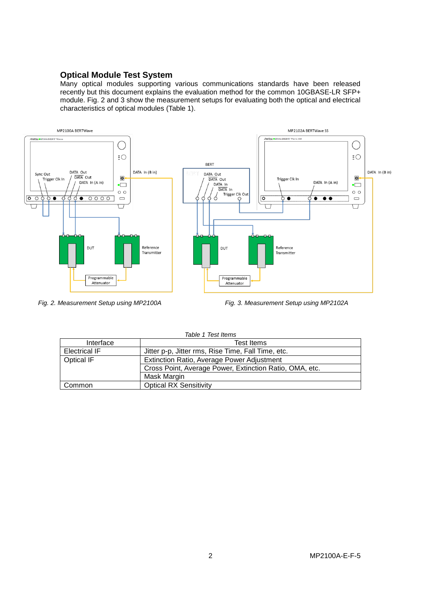## **Optical Module Test System**

Many optical modules supporting various communications standards have been released recently but this document explains the evaluation method for the common 10GBASE-LR SFP+ module. Fig. 2 and 3 show the measurement setups for evaluating both the optical and electrical characteristics of optical modules (Table 1).



*Fig. 2. Measurement Setup using MP2100A Fig. 3. Measurement Setup using MP2102A*

| Table 1 Test Items   |                                                         |  |  |
|----------------------|---------------------------------------------------------|--|--|
| Interface            | <b>Test Items</b>                                       |  |  |
| <b>Electrical IF</b> | Jitter p-p, Jitter rms, Rise Time, Fall Time, etc.      |  |  |
| <b>Optical IF</b>    | <b>Extinction Ratio, Average Power Adjustment</b>       |  |  |
|                      | Cross Point, Average Power, Extinction Ratio, OMA, etc. |  |  |
|                      | Mask Margin                                             |  |  |
| Common               | <b>Optical RX Sensitivity</b>                           |  |  |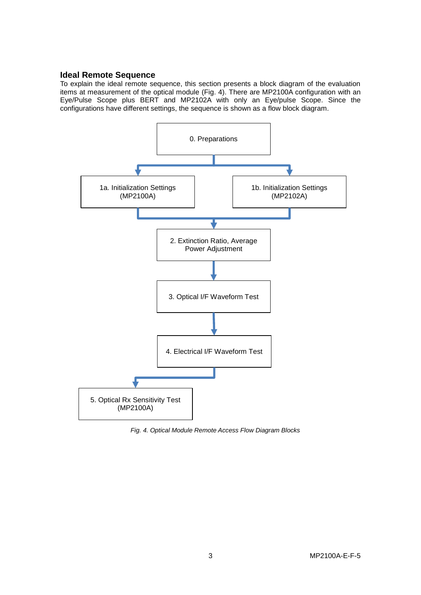## **Ideal Remote Sequence**

To explain the ideal remote sequence, this section presents a block diagram of the evaluation items at measurement of the optical module (Fig. 4). There are MP2100A configuration with an Eye/Pulse Scope plus BERT and MP2102A with only an Eye/pulse Scope. Since the configurations have different settings, the sequence is shown as a flow block diagram.



*Fig. 4. Optical Module Remote Access Flow Diagram Blocks*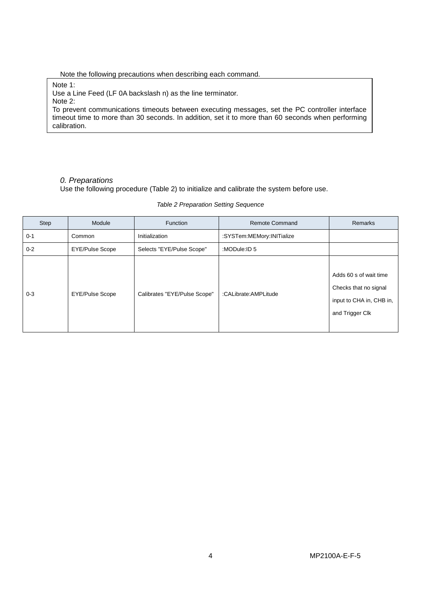Note the following precautions when describing each command.

Note 1: Use a Line Feed (LF 0A backslash n) as the line terminator. Note 2: To prevent communications timeouts between executing messages, set the PC controller interface timeout time to more than 30 seconds. In addition, set it to more than 60 seconds when performing calibration.

## *0. Preparations*

Use the following procedure (Table 2) to initialize and calibrate the system before use.

| Step    | Module                 | <b>Function</b>              | <b>Remote Command</b>     | Remarks                                                                                        |
|---------|------------------------|------------------------------|---------------------------|------------------------------------------------------------------------------------------------|
| $0 - 1$ | Common                 | Initialization               | :SYSTem:MEMory:INITialize |                                                                                                |
| $0 - 2$ | <b>EYE/Pulse Scope</b> | Selects "EYE/Pulse Scope"    | :MODule:ID 5              |                                                                                                |
| $0 - 3$ | <b>EYE/Pulse Scope</b> | Calibrates "EYE/Pulse Scope" | :CALibrate:AMPLitude      | Adds 60 s of wait time<br>Checks that no signal<br>input to CHA in, CHB in,<br>and Trigger Clk |

*Table 2 Preparation Setting Sequence*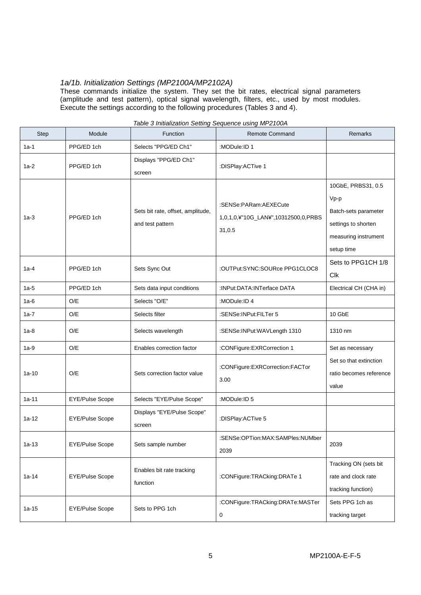## *1a/1b. Initialization Settings (MP2100A/MP2102A)*

These commands initialize the system. They set the bit rates, electrical signal parameters (amplitude and test pattern), optical signal wavelength, filters, etc., used by most modules. Execute the settings according to the following procedures (Tables 3 and 4).

| <b>Step</b> | Module                 | Function                                              | <b>Remote Command</b>                                                  | <b>Remarks</b>                                                                                                    |
|-------------|------------------------|-------------------------------------------------------|------------------------------------------------------------------------|-------------------------------------------------------------------------------------------------------------------|
| $1a-1$      | PPG/ED 1ch             | Selects "PPG/ED Ch1"                                  | :MODule:ID 1                                                           |                                                                                                                   |
| $1a-2$      | PPG/ED 1ch             | Displays "PPG/ED Ch1"<br>screen                       | :DISPlay:ACTive 1                                                      |                                                                                                                   |
| $1a-3$      | PPG/ED 1ch             | Sets bit rate, offset, amplitude,<br>and test pattern | :SENSe:PARam:AEXECute<br>1,0,1,0,¥"10G_LAN¥",10312500,0,PRBS<br>31,0.5 | 10GbE, PRBS31, 0.5<br>$Vp-p$<br>Batch-sets parameter<br>settings to shorten<br>measuring instrument<br>setup time |
| $1a-4$      | PPG/ED 1ch             | Sets Sync Out                                         | :OUTPut:SYNC:SOURce PPG1CLOC8                                          | Sets to PPG1CH 1/8<br>Clk                                                                                         |
| $1a-5$      | PPG/ED 1ch             | Sets data input conditions                            | :INPut:DATA:INTerface DATA                                             | Electrical CH (CHA in)                                                                                            |
| $1a-6$      | O/E                    | Selects "O/E"                                         | :MODule:ID 4                                                           |                                                                                                                   |
| 1a-7        | O/E                    | Selects filter                                        | :SENSe:INPut:FILTer 5                                                  | 10 GbE                                                                                                            |
| $1a-8$      | O/E                    | Selects wavelength                                    | :SENSe:INPut:WAVLength 1310                                            | 1310 nm                                                                                                           |
| $1a-9$      | O/E                    | Enables correction factor                             | :CONFigure:EXRCorrection 1                                             | Set as necessary                                                                                                  |
| $1a-10$     | O/E                    | Sets correction factor value                          | :CONFigure:EXRCorrection:FACTor<br>3.00                                | Set so that extinction<br>ratio becomes reference<br>value                                                        |
| $1a-11$     | <b>EYE/Pulse Scope</b> | Selects "EYE/Pulse Scope"                             | :MODule:ID 5                                                           |                                                                                                                   |
| $1a-12$     | <b>EYE/Pulse Scope</b> | Displays "EYE/Pulse Scope"<br>screen                  | :DISPlay:ACTive 5                                                      |                                                                                                                   |
| $1a-13$     | <b>EYE/Pulse Scope</b> | Sets sample number                                    | :SENSe:OPTion:MAX:SAMPles:NUMber<br>2039                               | 2039                                                                                                              |
| $1a-14$     | EYE/Pulse Scope        | Enables bit rate tracking<br>function                 | :CONFigure:TRACking:DRATe 1                                            | Tracking ON (sets bit<br>rate and clock rate<br>tracking function)                                                |
| $1a-15$     | <b>EYE/Pulse Scope</b> | Sets to PPG 1ch                                       | :CONFigure:TRACking:DRATe:MASTer<br>$\pmb{0}$                          | Sets PPG 1ch as<br>tracking target                                                                                |

#### *Table 3 Initialization Setting Sequence using MP2100A*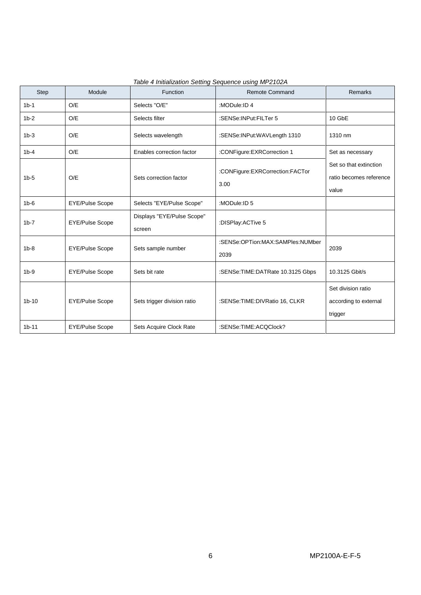| <b>Step</b> | Module                 | Function                             | Remote Command                           | <b>Remarks</b>                                             |
|-------------|------------------------|--------------------------------------|------------------------------------------|------------------------------------------------------------|
| $1b-1$      | O/E                    | Selects "O/E"                        | :MODule:ID 4                             |                                                            |
| $1b-2$      | O/E                    | Selects filter                       | :SENSe:INPut:FILTer 5                    | 10 GbE                                                     |
| $1b-3$      | O/E                    | Selects wavelength                   | :SENSe:INPut:WAVLength 1310              | 1310 nm                                                    |
| $1b-4$      | O/E                    | Enables correction factor            | :CONFigure:EXRCorrection 1               | Set as necessary                                           |
| $1b-5$      | O/E                    | Sets correction factor               | :CONFigure:EXRCorrection:FACTor<br>3.00  | Set so that extinction<br>ratio becomes reference<br>value |
| $1b-6$      | <b>EYE/Pulse Scope</b> | Selects "EYE/Pulse Scope"            | :MODule:ID 5                             |                                                            |
| $1b - 7$    | <b>EYE/Pulse Scope</b> | Displays "EYE/Pulse Scope"<br>screen | :DISPlay:ACTive 5                        |                                                            |
| $1b-8$      | <b>EYE/Pulse Scope</b> | Sets sample number                   | :SENSe:OPTion:MAX:SAMPles:NUMber<br>2039 | 2039                                                       |
| $1b-9$      | <b>EYE/Pulse Scope</b> | Sets bit rate                        | :SENSe:TIME:DATRate 10.3125 Gbps         | 10.3125 Gbit/s                                             |
| $1b-10$     | <b>EYE/Pulse Scope</b> | Sets trigger division ratio          | :SENSe:TIME:DIVRatio 16, CLKR            | Set division ratio<br>according to external<br>trigger     |
| $1b-11$     | <b>EYE/Pulse Scope</b> | Sets Acquire Clock Rate              | :SENSe:TIME:ACQClock?                    |                                                            |

*Table 4 Initialization Setting Sequence using MP2102A*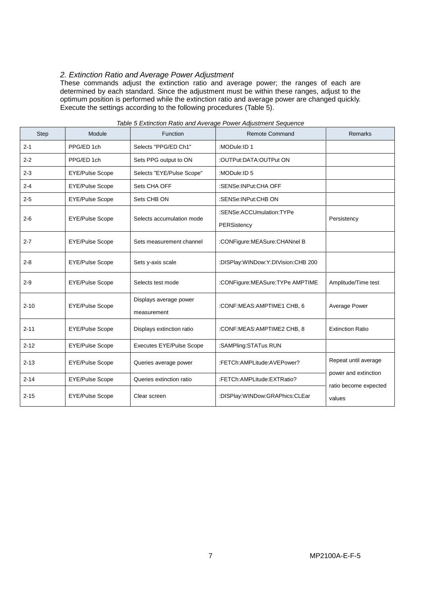## *2. Extinction Ratio and Average Power Adjustment*

These commands adjust the extinction ratio and average power; the ranges of each are determined by each standard. Since the adjustment must be within these ranges, adjust to the optimum position is performed while the extinction ratio and average power are changed quickly. Execute the settings according to the following procedures (Table 5).

| <b>Step</b> | Module                 | Function                              | <b>Remote Command</b>                   | <b>Remarks</b>                  |
|-------------|------------------------|---------------------------------------|-----------------------------------------|---------------------------------|
| $2 - 1$     | PPG/ED 1ch             | Selects "PPG/ED Ch1"                  | :MODule:ID 1                            |                                 |
| $2 - 2$     | PPG/ED 1ch             | Sets PPG output to ON                 | :OUTPut:DATA:OUTPut ON                  |                                 |
| $2 - 3$     | <b>EYE/Pulse Scope</b> | Selects "EYE/Pulse Scope"             | :MODule:ID 5                            |                                 |
| $2 - 4$     | EYE/Pulse Scope        | Sets CHA OFF                          | :SENSe:INPut:CHA OFF                    |                                 |
| $2 - 5$     | EYE/Pulse Scope        | Sets CHB ON                           | :SENSe:INPut:CHB ON                     |                                 |
| $2 - 6$     | <b>EYE/Pulse Scope</b> | Selects accumulation mode             | :SENSe:ACCUmulation:TYPe<br>PERSistency | Persistency                     |
| $2 - 7$     | <b>EYE/Pulse Scope</b> | Sets measurement channel              | :CONFigure:MEASure:CHANnel B            |                                 |
| $2 - 8$     | <b>EYE/Pulse Scope</b> | Sets y-axis scale                     | :DISPlay:WINDow:Y:DIVision:CHB 200      |                                 |
| $2 - 9$     | <b>EYE/Pulse Scope</b> | Selects test mode                     | :CONFigure:MEASure:TYPe AMPTIME         | Amplitude/Time test             |
| $2 - 10$    | <b>EYE/Pulse Scope</b> | Displays average power<br>measurement | :CONF:MEAS:AMPTIME1 CHB, 6              | Average Power                   |
| $2 - 11$    | <b>EYE/Pulse Scope</b> | Displays extinction ratio             | :CONF:MEAS:AMPTIME2 CHB, 8              | <b>Extinction Ratio</b>         |
| $2 - 12$    | <b>EYE/Pulse Scope</b> | <b>Executes EYE/Pulse Scope</b>       | :SAMPling:STATus RUN                    |                                 |
| $2 - 13$    | <b>EYE/Pulse Scope</b> | Queries average power                 | :FETCh:AMPLitude:AVEPower?              | Repeat until average            |
| $2 - 14$    | <b>EYE/Pulse Scope</b> | Queries extinction ratio              | :FETCh:AMPLitude:EXTRatio?              | power and extinction            |
| $2 - 15$    | <b>EYE/Pulse Scope</b> | Clear screen                          | :DISPlay:WINDow:GRAPhics:CLEar          | ratio become expected<br>values |

#### *Table 5 Extinction Ratio and Average Power Adjustment Sequence*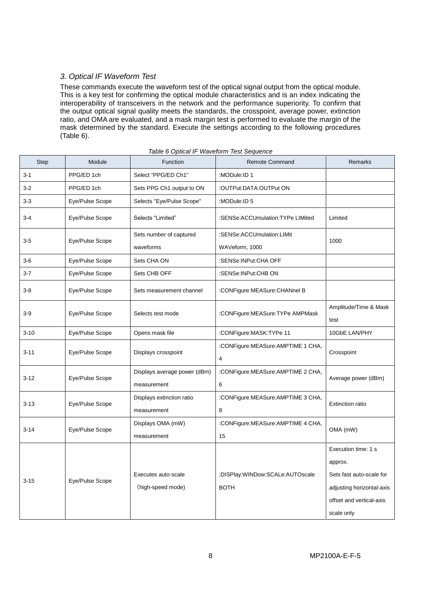## *3. Optical IF Waveform Test*

These commands execute the waveform test of the optical signal output from the optical module. This is a key test for confirming the optical module characteristics and is an index indicating the interoperability of transceivers in the network and the performance superiority. To confirm that the output optical signal quality meets the standards, the crosspoint, average power, extinction ratio, and OMA are evaluated, and a mask margin test is performed to evaluate the margin of the mask determined by the standard. Execute the settings according to the following procedures (Table 6).

| <b>Step</b> | Module          | Function                     | <b>Remote Command</b>                  | <b>Remarks</b>                |
|-------------|-----------------|------------------------------|----------------------------------------|-------------------------------|
| $3 - 1$     | PPG/ED 1ch      | Select "PPG/ED Ch1"          | :MODule:ID 1                           |                               |
| $3 - 2$     | PPG/ED 1ch      | Sets PPG Ch1 output to ON    | :OUTPut:DATA:OUTPut ON                 |                               |
| $3-3$       | Eye/Pulse Scope | Selects "Eye/Pulse Scope"    | :MODule:ID 5                           |                               |
| $3 - 4$     | Eye/Pulse Scope | Selects "Limited"            | :SENSe:ACCUmulation:TYPe LIMited       | Limited                       |
| $3-5$       | Eye/Pulse Scope | Sets number of captured      | :SENSe:ACCUmulation:LIMit              | 1000                          |
|             |                 | waveforms                    | WAVeform, 1000                         |                               |
| $3-6$       | Eye/Pulse Scope | Sets CHA ON                  | :SENSe:INPut:CHA OFF                   |                               |
| $3 - 7$     | Eye/Pulse Scope | Sets CHB OFF                 | :SENSe:INPut:CHB ON                    |                               |
| $3 - 8$     | Eye/Pulse Scope | Sets measurement channel     | :CONFigure:MEASure:CHANnel B           |                               |
| $3-9$       | Eye/Pulse Scope | Selects test mode            | :CONFigure:MEASure:TYPe AMPMask        | Amplitude/Time & Mask<br>test |
| $3 - 10$    | Eye/Pulse Scope | Opens mask file              | :CONFigure:MASK:TYPe 11                | 10GbE LAN/PHY                 |
| $3 - 11$    | Eye/Pulse Scope | Displays crosspoint          | :CONFigure:MEASure:AMPTIME 1 CHA,<br>4 | Crosspoint                    |
| $3 - 12$    |                 | Displays average power (dBm) | :CONFigure:MEASure:AMPTIME 2 CHA,      |                               |
|             | Eye/Pulse Scope | measurement                  | 6                                      | Average power (dBm)           |
| $3 - 13$    |                 | Displays extinction ratio    | :CONFigure: MEASure: AMPTIME 3 CHA,    | Extinction ratio              |
|             | Eye/Pulse Scope | measurement                  | 8                                      |                               |
| $3 - 14$    | Eye/Pulse Scope | Displays OMA (mW)            | :CONFigure: MEASure: AMPTIME 4 CHA,    | OMA (mW)                      |
|             |                 | measurement                  | 15                                     |                               |
|             |                 |                              |                                        | Execution time: 1 s           |
|             |                 |                              |                                        | approx.                       |
| $3 - 15$    | Eye/Pulse Scope | Executes auto-scale          | :DISPlay:WINDow:SCALe:AUTOscale        | Sets fast auto-scale for      |
|             |                 | (high-speed mode)            | <b>BOTH</b>                            | adjusting horizontal-axis     |
|             |                 |                              |                                        | offset and vertical-axis      |
|             |                 |                              |                                        | scale only                    |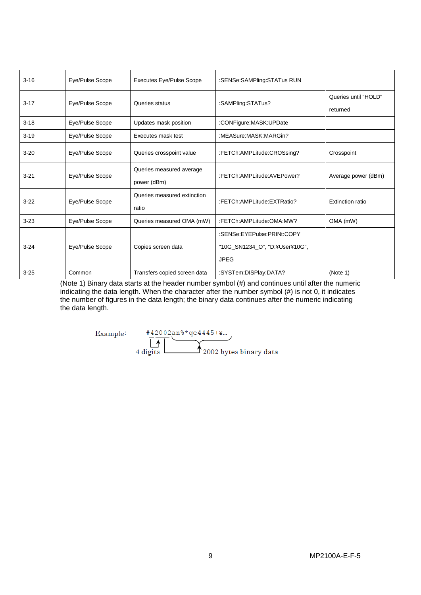| $3 - 16$ | Eye/Pulse Scope | <b>Executes Eye/Pulse Scope</b>         | :SENSe:SAMPling:STATus RUN                                                  |                                  |
|----------|-----------------|-----------------------------------------|-----------------------------------------------------------------------------|----------------------------------|
| $3 - 17$ | Eye/Pulse Scope | Queries status                          | :SAMPling:STATus?                                                           | Queries until "HOLD"<br>returned |
| $3 - 18$ | Eye/Pulse Scope | Updates mask position                   | :CONFigure:MASK:UPDate                                                      |                                  |
| $3 - 19$ | Eye/Pulse Scope | Executes mask test                      | :MEASure:MASK:MARGin?                                                       |                                  |
| $3 - 20$ | Eye/Pulse Scope | Queries crosspoint value                | :FETCh:AMPLitude:CROSsing?                                                  | Crosspoint                       |
| $3 - 21$ | Eye/Pulse Scope | Queries measured average<br>power (dBm) | :FETCh:AMPLitude:AVEPower?                                                  | Average power (dBm)              |
| $3-22$   | Eye/Pulse Scope | Queries measured extinction<br>ratio    | :FETCh:AMPLitude:EXTRatio?                                                  | Extinction ratio                 |
| $3 - 23$ | Eye/Pulse Scope | Queries measured OMA (mW)               | :FETCh:AMPLitude:OMA:MW?                                                    | OMA (mW)                         |
| $3 - 24$ | Eye/Pulse Scope | Copies screen data                      | :SENSe:EYEPulse:PRINt:COPY<br>"10G_SN1234_O", "D:¥User¥10G",<br><b>JPEG</b> |                                  |
| $3 - 25$ | Common          | Transfers copied screen data            | :SYSTem:DISPlay:DATA?                                                       | (Note 1)                         |

(Note 1) Binary data starts at the header number symbol (#) and continues until after the numeric indicating the data length. When the character after the number symbol (#) is not 0, it indicates the number of figures in the data length; the binary data continues after the numeric indicating the data length.

Example:

 $+42002$ an%\*qe4445+¥...  $\bigwedge$  2002 bytes binary data  $4$  digits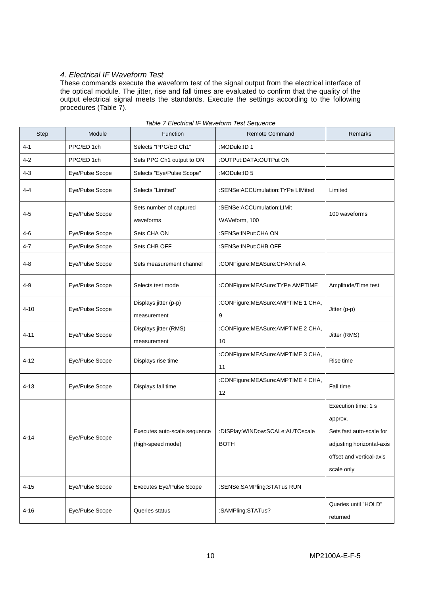## *4. Electrical IF Waveform Test*

These commands execute the waveform test of the signal output from the electrical interface of the optical module. The jitter, rise and fall times are evaluated to confirm that the quality of the output electrical signal meets the standards. Execute the settings according to the following procedures (Table 7).

| Step     | Module          | Function                                          | <b>Remote Command</b>                          | Remarks                                                                                                                           |
|----------|-----------------|---------------------------------------------------|------------------------------------------------|-----------------------------------------------------------------------------------------------------------------------------------|
| 4-1      | PPG/ED 1ch      | Selects "PPG/ED Ch1"                              | :MODule:ID 1                                   |                                                                                                                                   |
| 4-2      | PPG/ED 1ch      | Sets PPG Ch1 output to ON                         | :OUTPut:DATA:OUTPut ON                         |                                                                                                                                   |
| 4-3      | Eye/Pulse Scope | Selects "Eye/Pulse Scope"                         | :MODule:ID 5                                   |                                                                                                                                   |
| 4-4      | Eye/Pulse Scope | Selects "Limited"                                 | :SENSe:ACCUmulation:TYPe LIMited               | Limited                                                                                                                           |
| $4 - 5$  | Eye/Pulse Scope | Sets number of captured<br>waveforms              | :SENSe:ACCUmulation:LIMit<br>WAVeform, 100     | 100 waveforms                                                                                                                     |
| 4-6      | Eye/Pulse Scope | Sets CHA ON                                       | :SENSe:INPut:CHA ON                            |                                                                                                                                   |
| 4-7      | Eye/Pulse Scope | Sets CHB OFF                                      | :SENSe:INPut:CHB OFF                           |                                                                                                                                   |
| 4-8      | Eye/Pulse Scope | Sets measurement channel                          | :CONFigure:MEASure:CHANnel A                   |                                                                                                                                   |
| 4-9      | Eye/Pulse Scope | Selects test mode                                 | :CONFigure:MEASure:TYPe AMPTIME                | Amplitude/Time test                                                                                                               |
| 4-10     | Eye/Pulse Scope | Displays jitter (p-p)<br>measurement              | :CONFigure:MEASure:AMPTIME 1 CHA,<br>9         | Jitter (p-p)                                                                                                                      |
| $4 - 11$ | Eye/Pulse Scope | Displays jitter (RMS)<br>measurement              | :CONFigure:MEASure:AMPTIME 2 CHA,<br>10        | Jitter (RMS)                                                                                                                      |
| 4-12     | Eye/Pulse Scope | Displays rise time                                | :CONFigure:MEASure:AMPTIME 3 CHA,<br>11        | Rise time                                                                                                                         |
| $4 - 13$ | Eye/Pulse Scope | Displays fall time                                | :CONFigure:MEASure:AMPTIME 4 CHA,<br>12        | Fall time                                                                                                                         |
| 4-14     | Eye/Pulse Scope | Executes auto-scale sequence<br>(high-speed mode) | :DISPlay:WINDow:SCALe:AUTOscale<br><b>BOTH</b> | Execution time: 1 s<br>approx.<br>Sets fast auto-scale for<br>adjusting horizontal-axis<br>offset and vertical-axis<br>scale only |
| $4 - 15$ | Eye/Pulse Scope | <b>Executes Eye/Pulse Scope</b>                   | :SENSe:SAMPling:STATus RUN                     |                                                                                                                                   |
| $4 - 16$ | Eye/Pulse Scope | Queries status                                    | :SAMPling:STATus?                              | Queries until "HOLD"<br>returned                                                                                                  |

### *Table 7 Electrical IF Waveform Test Sequence*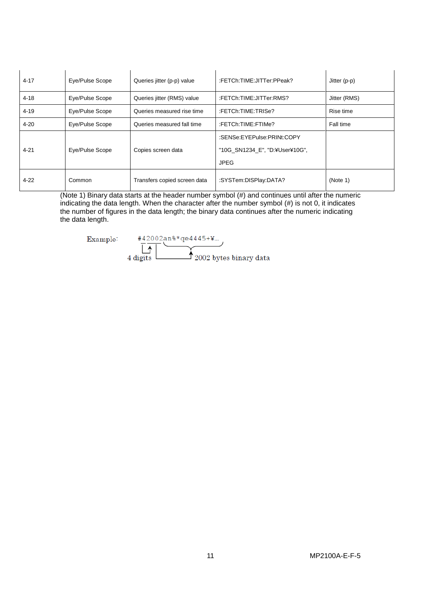| $4 - 17$ | Eye/Pulse Scope | Queries jitter (p-p) value   | :FETCh:TIME:JITTer:PPeak?                                                       | Jitter (p-p) |
|----------|-----------------|------------------------------|---------------------------------------------------------------------------------|--------------|
| $4 - 18$ | Eye/Pulse Scope | Queries jitter (RMS) value   | :FETCh:TIME:JITTer:RMS?                                                         | Jitter (RMS) |
| $4 - 19$ | Eye/Pulse Scope | Queries measured rise time   | :FETCh:TIME:TRISe?                                                              | Rise time    |
| $4 - 20$ | Eye/Pulse Scope | Queries measured fall time   | :FETCh:TIME:FTIMe?                                                              | Fall time    |
| $4 - 21$ | Eye/Pulse Scope | Copies screen data           | :SENSe:EYEPulse:PRINt:COPY<br>"10G SN1234 E", "D:\\ User\\ 10G",<br><b>JPEG</b> |              |
| $4 - 22$ | Common          | Transfers copied screen data | :SYSTem:DISPlay:DATA?                                                           | (Note 1)     |

(Note 1) Binary data starts at the header number symbol (#) and continues until after the numeric indicating the data length. When the character after the number symbol (#) is not 0, it indicates the number of figures in the data length; the binary data continues after the numeric indicating the data length.

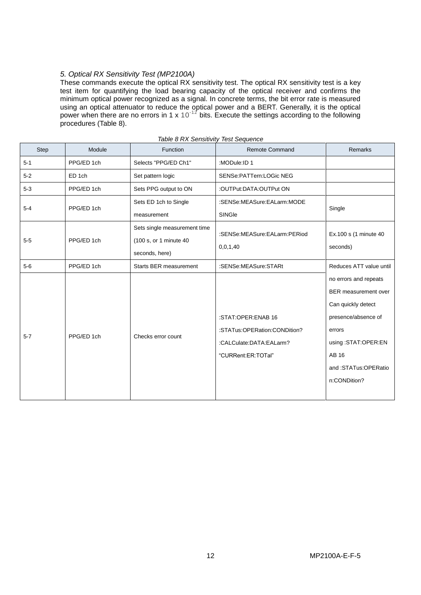## *5. Optical RX Sensitivity Test (MP2100A)*

These commands execute the optical RX sensitivity test. The optical RX sensitivity test is a key test item for quantifying the load bearing capacity of the optical receiver and confirms the minimum optical power recognized as a signal. In concrete terms, the bit error rate is measured using an optical attenuator to reduce the optical power and a BERT. Generally, it is the optical power when there are no errors in 1 x 10<sup>-12</sup> bits. Execute the settings according to the following procedures (Table 8).

| <b>Step</b> | Module     | Function                                                                  | <b>Remote Command</b>                                                                               | Remarks                                                                                                                                                                    |  |
|-------------|------------|---------------------------------------------------------------------------|-----------------------------------------------------------------------------------------------------|----------------------------------------------------------------------------------------------------------------------------------------------------------------------------|--|
| $5 - 1$     | PPG/ED 1ch | Selects "PPG/ED Ch1"                                                      | :MODule:ID 1                                                                                        |                                                                                                                                                                            |  |
| $5 - 2$     | ED 1ch     | Set pattern logic                                                         | SENSe: PATTern: LOGic NEG                                                                           |                                                                                                                                                                            |  |
| $5-3$       | PPG/ED 1ch | Sets PPG output to ON                                                     | :OUTPut:DATA:OUTPut ON                                                                              |                                                                                                                                                                            |  |
| $5 - 4$     | PPG/ED 1ch | Sets ED 1ch to Single                                                     | :SENSe:MEASure:EALarm:MODE                                                                          | Single                                                                                                                                                                     |  |
|             |            | measurement                                                               | SINGle                                                                                              |                                                                                                                                                                            |  |
| $5-5$       | PPG/ED 1ch | Sets single measurement time<br>(100 s, or 1 minute 40)<br>seconds, here) | :SENSe:MEASure:EALarm:PERiod<br>0,0,1,40                                                            | Ex.100 s (1 minute 40<br>seconds)                                                                                                                                          |  |
| $5-6$       | PPG/ED 1ch | Starts BER measurement                                                    | :SENSe:MEASure:STARt                                                                                | Reduces ATT value until                                                                                                                                                    |  |
| $5 - 7$     | PPG/ED 1ch | Checks error count                                                        | :STAT:OPER:ENAB 16<br>:STATus:OPERation:CONDition?<br>:CALCulate:DATA:EALarm?<br>"CURRent:ER:TOTal" | no errors and repeats<br>BER measurement over<br>Can quickly detect<br>presence/absence of<br>errors<br>using:STAT:OPER:EN<br>AB 16<br>and:STATus:OPERatio<br>n:CONDition? |  |

|  | Table 8 RX Sensitivity Test Sequence |
|--|--------------------------------------|
|  |                                      |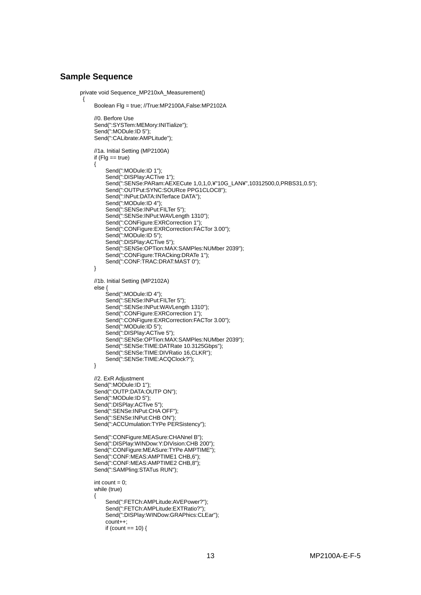## **Sample Sequence**

```
 private void Sequence_MP210xA_Measurement()
\{ Boolean Flg = true; //True:MP2100A,False:MP2102A
            //0. Berfore Use
            Send(":SYSTem:MEMory:INITialize");
            Send(":MODule:ID 5");
           Send(":CALibrate:AMPLitude");
            //1a. Initial Setting (MP2100A)
           if (Flg  == true)\{ Send(":MODule:ID 1");
               Send(":DISPlay:ACTive 1");
                Send(":SENSe:PARam:AEXECute 1,0,1,0,¥"10G_LAN¥",10312500,0,PRBS31,0.5");
                Send(":OUTPut:SYNC:SOURce PPG1CLOC8");
                Send(":INPut:DATA:INTerface DATA");
 Send(":MODule:ID 4");
 Send(":SENSe:INPut:FILTer 5");
               Send(":SENSe:INPut:WAVLength 1310");
                Send(":CONFigure:EXRCorrection 1");
               Send(":CONFigure:EXRCorrection:FACTor 3.00");
               Send(":MODule:ID 5");
               Send(":DISPlay:ACTive 5");
                Send(":SENSe:OPTion:MAX:SAMPles:NUMber 2039");
                Send(":CONFigure:TRACking:DRATe 1");
           Send(":CONF:TRAC:DRAT:MAST 0");
 }
            //1b. Initial Setting (MP2102A)
            else {
                Send(":MODule:ID 4");
               Send(":SENSe:INPut:FILTer 5");
               Send(":SENSe:INPut:WAVLength 1310");
                Send(":CONFigure:EXRCorrection 1");
               Send(":CONFigure:EXRCorrection:FACTor 3.00");
                Send(":MODule:ID 5");
               Send(":DISPlay:ACTive 5");
                Send(":SENSe:OPTion:MAX:SAMPles:NUMber 2039");
                Send(":SENSe:TIME:DATRate 10.3125Gbps");
                Send(":SENSe:TIME:DIVRatio 16,CLKR");
                Send(":SENSe:TIME:ACQClock?");
 }
            //2. ExR Adjustment
           Send(":MODule:ID 1");
           Send(":OUTP:DATA:OUTP ON");
           Send(":MODule:ID 5");
           Send(":DISPlay:ACTive 5");
           Send(":SENSe:INPut:CHA OFF");
           Send(":SENSe:INPut:CHB ON");
           Send(":ACCUmulation:TYPe PERSistency");
            Send(":CONFigure:MEASure:CHANnel B");
            Send(":DISPlay:WINDow:Y:DIVision:CHB 200");
            Send(":CONFigure:MEASure:TYPe AMPTIME");
           Send(":CONF:MEAS:AMPTIME1 CHB,6");
           Send(":CONF:MEAS:AMPTIME2 CHB,8");
           Send(":SAMPling:STATus RUN");
           int count = 0;
            while (true)
 {
                Send(":FETCh:AMPLitude:AVEPower?");
               Send(":FETCh:AMPLitude:EXTRatio?");
                Send(":DISPlay:WINDow:GRAPhics:CLEar");
               count++;if (count == 10) {
```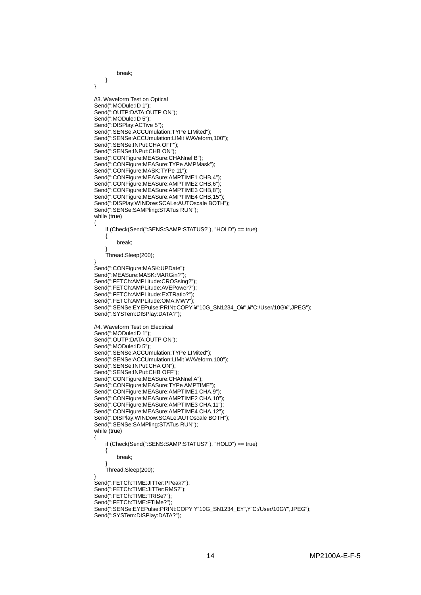```
break;
```

```
 }
 }
            //3. Waveform Test on Optical
            Send(":MODule:ID 1");
            Send(":OUTP:DATA:OUTP ON");
           Send(":MODule:ID 5");
           Send<sup>("</sup>:DISPlay:ACTive 5");
 Send(":SENSe:ACCUmulation:TYPe LIMited");
 Send(":SENSe:ACCUmulation:LIMit WAVeform,100");
            Send(":SENSe:INPut:CHA OFF");
           Send(":SENSe:INPut:CHB ON");
            Send(":CONFigure:MEASure:CHANnel B");
            Send(":CONFigure:MEASure:TYPe AMPMask");
           Send(":CONFigure:MASK:TYPe 11");
           Send(":CONFigure:MEASure:AMPTIME1 CHB,4");
            Send(":CONFigure:MEASure:AMPTIME2 CHB,6");
           Send(":CONFigure:MEASure:AMPTIME3 CHB,8");
           Send<sup>("</sup>:CONFigure:MEASure:AMPTIME4 CHB,15");
            Send(":DISPlay:WINDow:SCALe:AUTOscale BOTH");
            Send(":SENSe:SAMPling:STATus RUN");
           while (true)
 {
                if (Check(Send(":SENS:SAMP:STATUS?"), "HOLD") == true)
\{ break;
 }
                Thread.Sleep(200);
 }
            Send(":CONFigure:MASK:UPDate");
            Send(":MEASure:MASK:MARGin?");
            Send(":FETCh:AMPLitude:CROSsing?");
            Send(":FETCh:AMPLitude:AVEPower?");
            Send(":FETCh:AMPLitude:EXTRatio?");
            Send(":FETCh:AMPLitude:OMA:MW?");
           Send(":SENSe:EYEPulse:PRINt:COPY ¥"10G_SN1234_O¥",¥"C:/User/10G¥",JPEG");
            Send(":SYSTem:DISPlay:DATA?");
            //4. Waveform Test on Electrical
           Send(":MODule:ID 1");
           Send(":OUTP:DATA:OUTP ON");
            Send(":MODule:ID 5");
            Send(":SENSe:ACCUmulation:TYPe LIMited");
            Send(":SENSe:ACCUmulation:LIMit WAVeform,100");
            Send(":SENSe:INPut:CHA ON");
            Send(":SENSe:INPut:CHB OFF");
            Send(":CONFigure:MEASure:CHANnel A");
           Send<sup>("</sup>:CONFigure:MEASure:TYPe AMPTIME");
            Send(":CONFigure:MEASure:AMPTIME1 CHA,9");
            Send(":CONFigure:MEASure:AMPTIME2 CHA,10");
            Send(":CONFigure:MEASure:AMPTIME3 CHA,11");
           Send<sup>("</sup>:CONFigure:MEASure:AMPTIME4 CHA.12");
            Send(":DISPlay:WINDow:SCALe:AUTOscale BOTH");
            Send(":SENSe:SAMPling:STATus RUN");
           while (true)
 {
                if (Check(Send(":SENS:SAMP:STATUS?"), "HOLD") == true)
\{ break;
 }
                Thread.Sleep(200);
 }
            Send(":FETCh:TIME:JITTer:PPeak?");
            Send(":FETCh:TIME:JITTer:RMS?");
            Send(":FETCh:TIME:TRISe?");
           Send(":FETCh:TIME:FTIMe?");
            Send(":SENSe:EYEPulse:PRINt:COPY ¥"10G_SN1234_E¥",¥"C:/User/10G¥",JPEG");
            Send(":SYSTem:DISPlay:DATA?");
```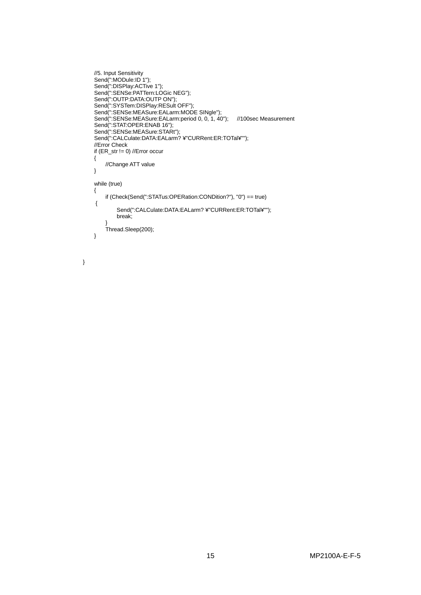```
 //5. Input Sensitivity
 Send(":MODule:ID 1");
 Send(":DISPlay:ACTive 1");
 Send(":SENSe:PATTern:LOGic NEG");
 Send(":OUTP:DATA:OUTP ON");
         Send(":SYSTem:DISPlay:RESult OFF");
 Send(":SENSe:MEASure:EALarm:MODE SINgle");
 Send(":SENSe:MEASure:EALarm:period 0, 0, 1, 40"); //100sec Measurement
 Send(":STAT:OPER:ENAB 16");
 Send(":SENSe:MEASure:STARt");
 Send(":CALCulate:DATA:EALarm? ¥"CURRent:ER:TOTal¥"");
          //Error Check
         if (ER\_str != 0) //Error occur
\{//Change ATT value
 }
          while (true)
\{ if (Check(Send(":STATus:OPERation:CONDition?"), "0") == true) 
         {
                 Send(":CALCulate:DATA:EALarm? ¥"CURRent:ER:TOTal¥"");
                 break;
 }
         Thread.Sleep(200);
 }
```
}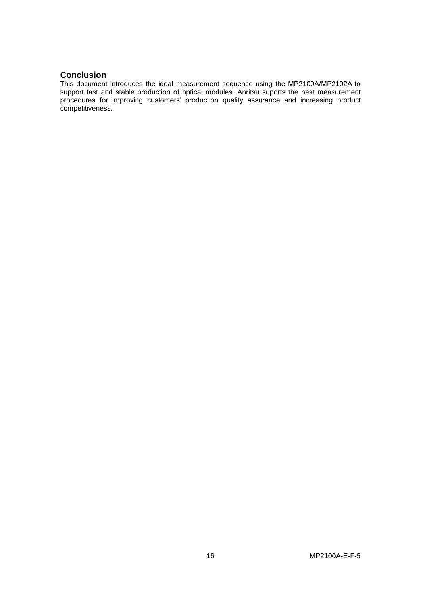## **Conclusion**

This document introduces the ideal measurement sequence using the MP2100A/MP2102A to support fast and stable production of optical modules. Anritsu suports the best measurement procedures for improving customers' production quality assurance and increasing product competitiveness.